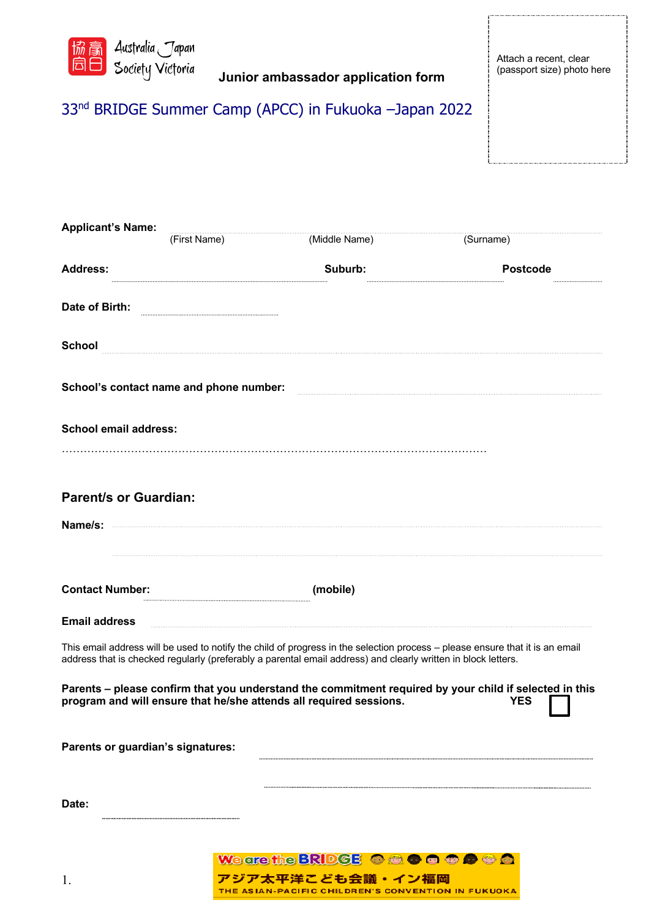

## 33nd BRIDGE Summer Camp (APCC) in Fukuoka –Japan 2022

| <b>Applicant's Name:</b>          | (First Name)                                                                                                  | (Middle Name) | (Surname)                                                                                                                    |
|-----------------------------------|---------------------------------------------------------------------------------------------------------------|---------------|------------------------------------------------------------------------------------------------------------------------------|
| <b>Address:</b>                   |                                                                                                               | Suburb:       | Postcode                                                                                                                     |
| Date of Birth:                    |                                                                                                               |               |                                                                                                                              |
| <b>School</b>                     |                                                                                                               |               |                                                                                                                              |
|                                   | School's contact name and phone number:                                                                       |               |                                                                                                                              |
| <b>School email address:</b>      |                                                                                                               |               |                                                                                                                              |
|                                   |                                                                                                               |               |                                                                                                                              |
| <b>Parent/s or Guardian:</b>      |                                                                                                               |               |                                                                                                                              |
| Name/s:                           |                                                                                                               |               |                                                                                                                              |
| <b>Contact Number:</b>            |                                                                                                               | (mobile)      |                                                                                                                              |
| <b>Email address</b>              |                                                                                                               |               |                                                                                                                              |
|                                   | address that is checked regularly (preferably a parental email address) and clearly written in block letters. |               | This email address will be used to notify the child of progress in the selection process - please ensure that it is an email |
|                                   | program and will ensure that he/she attends all required sessions.                                            |               | Parents - please confirm that you understand the commitment required by your child if selected in this<br><b>YES</b>         |
| Parents or guardian's signatures: |                                                                                                               |               |                                                                                                                              |
| Date:                             |                                                                                                               |               |                                                                                                                              |
|                                   |                                                                                                               |               |                                                                                                                              |

We are the BRIDGE Of **a o a c a**  $\bullet$  **a**